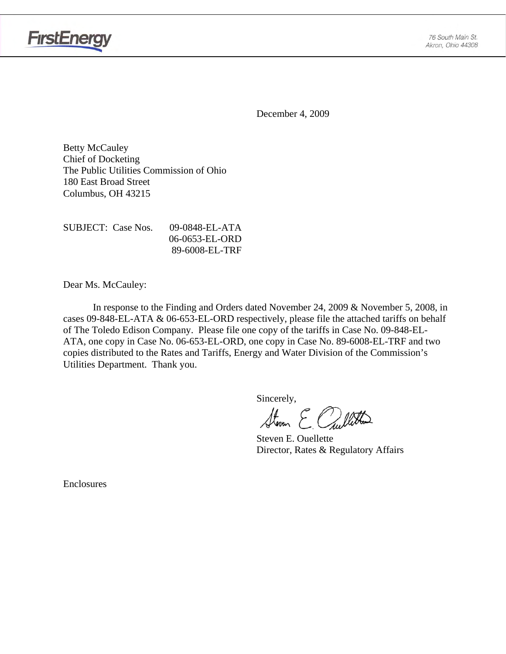

December 4, 2009

Betty McCauley Chief of Docketing The Public Utilities Commission of Ohio 180 East Broad Street Columbus, OH 43215

SUBJECT: Case Nos. 09-0848-EL-ATA 06-0653-EL-ORD 89-6008-EL-TRF

Dear Ms. McCauley:

 In response to the Finding and Orders dated November 24, 2009 & November 5, 2008, in cases 09-848-EL-ATA & 06-653-EL-ORD respectively, please file the attached tariffs on behalf of The Toledo Edison Company. Please file one copy of the tariffs in Case No. 09-848-EL-ATA, one copy in Case No. 06-653-EL-ORD, one copy in Case No. 89-6008-EL-TRF and two copies distributed to the Rates and Tariffs, Energy and Water Division of the Commission's Utilities Department. Thank you.

Sincerely,

Storen E Cullitta

 Steven E. Ouellette Director, Rates & Regulatory Affairs

Enclosures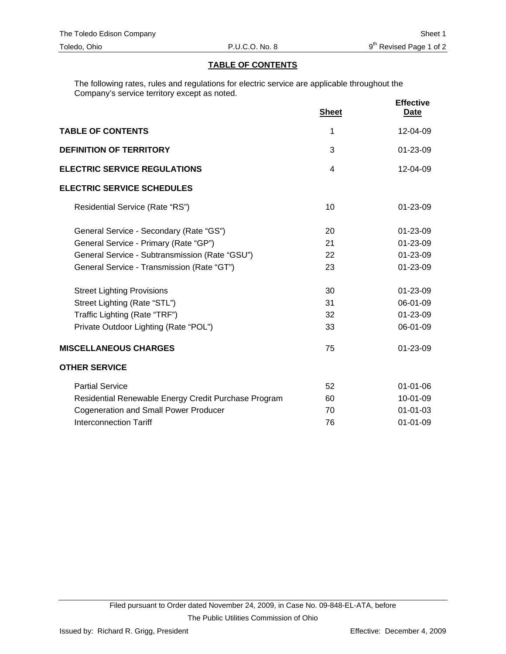### **TABLE OF CONTENTS**

The following rates, rules and regulations for electric service are applicable throughout the Company's service territory except as noted.

|                                                      | <b>Sheet</b> | <b>Effective</b><br><b>Date</b> |
|------------------------------------------------------|--------------|---------------------------------|
| <b>TABLE OF CONTENTS</b>                             | 1            | 12-04-09                        |
| <b>DEFINITION OF TERRITORY</b>                       | 3            | $01 - 23 - 09$                  |
| <b>ELECTRIC SERVICE REGULATIONS</b>                  | 4            | 12-04-09                        |
| <b>ELECTRIC SERVICE SCHEDULES</b>                    |              |                                 |
| Residential Service (Rate "RS")                      | 10           | 01-23-09                        |
| General Service - Secondary (Rate "GS")              | 20           | 01-23-09                        |
| General Service - Primary (Rate "GP")                | 21           | 01-23-09                        |
| General Service - Subtransmission (Rate "GSU")       | 22           | 01-23-09                        |
| General Service - Transmission (Rate "GT")           | 23           | 01-23-09                        |
| <b>Street Lighting Provisions</b>                    | 30           | 01-23-09                        |
| Street Lighting (Rate "STL")                         | 31           | 06-01-09                        |
| Traffic Lighting (Rate "TRF")                        | 32           | 01-23-09                        |
| Private Outdoor Lighting (Rate "POL")                | 33           | 06-01-09                        |
| <b>MISCELLANEOUS CHARGES</b>                         | 75           | 01-23-09                        |
| <b>OTHER SERVICE</b>                                 |              |                                 |
| <b>Partial Service</b>                               | 52           | $01 - 01 - 06$                  |
| Residential Renewable Energy Credit Purchase Program | 60           | 10-01-09                        |
| <b>Cogeneration and Small Power Producer</b>         | 70           | $01 - 01 - 03$                  |
| <b>Interconnection Tariff</b>                        | 76           | $01 - 01 - 09$                  |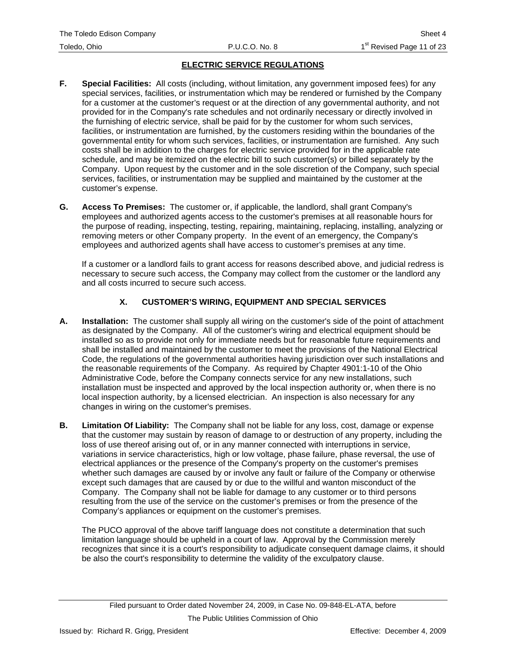### **ELECTRIC SERVICE REGULATIONS**

- **F. Special Facilities:** All costs (including, without limitation, any government imposed fees) for any special services, facilities, or instrumentation which may be rendered or furnished by the Company for a customer at the customer's request or at the direction of any governmental authority, and not provided for in the Company's rate schedules and not ordinarily necessary or directly involved in the furnishing of electric service, shall be paid for by the customer for whom such services, facilities, or instrumentation are furnished, by the customers residing within the boundaries of the governmental entity for whom such services, facilities, or instrumentation are furnished. Any such costs shall be in addition to the charges for electric service provided for in the applicable rate schedule, and may be itemized on the electric bill to such customer(s) or billed separately by the Company. Upon request by the customer and in the sole discretion of the Company, such special services, facilities, or instrumentation may be supplied and maintained by the customer at the customer's expense.
- **G. Access To Premises:** The customer or, if applicable, the landlord, shall grant Company's employees and authorized agents access to the customer's premises at all reasonable hours for the purpose of reading, inspecting, testing, repairing, maintaining, replacing, installing, analyzing or removing meters or other Company property. In the event of an emergency, the Company's employees and authorized agents shall have access to customer's premises at any time.

If a customer or a landlord fails to grant access for reasons described above, and judicial redress is necessary to secure such access, the Company may collect from the customer or the landlord any and all costs incurred to secure such access.

### **X. CUSTOMER'S WIRING, EQUIPMENT AND SPECIAL SERVICES**

- **A. Installation:** The customer shall supply all wiring on the customer's side of the point of attachment as designated by the Company. All of the customer's wiring and electrical equipment should be installed so as to provide not only for immediate needs but for reasonable future requirements and shall be installed and maintained by the customer to meet the provisions of the National Electrical Code, the regulations of the governmental authorities having jurisdiction over such installations and the reasonable requirements of the Company. As required by Chapter 4901:1-10 of the Ohio Administrative Code, before the Company connects service for any new installations, such installation must be inspected and approved by the local inspection authority or, when there is no local inspection authority, by a licensed electrician. An inspection is also necessary for any changes in wiring on the customer's premises.
- **B. Limitation Of Liability:** The Company shall not be liable for any loss, cost, damage or expense that the customer may sustain by reason of damage to or destruction of any property, including the loss of use thereof arising out of, or in any manner connected with interruptions in service, variations in service characteristics, high or low voltage, phase failure, phase reversal, the use of electrical appliances or the presence of the Company's property on the customer's premises whether such damages are caused by or involve any fault or failure of the Company or otherwise except such damages that are caused by or due to the willful and wanton misconduct of the Company. The Company shall not be liable for damage to any customer or to third persons resulting from the use of the service on the customer's premises or from the presence of the Company's appliances or equipment on the customer's premises.

The PUCO approval of the above tariff language does not constitute a determination that such limitation language should be upheld in a court of law. Approval by the Commission merely recognizes that since it is a court's responsibility to adjudicate consequent damage claims, it should be also the court's responsibility to determine the validity of the exculpatory clause.